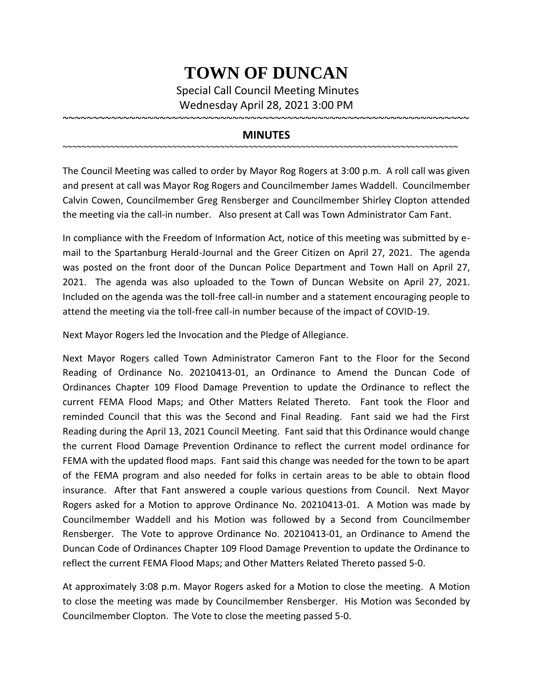## **TOWN OF DUNCAN**

Special Call Council Meeting Minutes Wednesday April 28, 2021 3:00 PM

~~~~~~~~~~~~~~~~~~~~~~~~~~~~~~~~~~~~~~~~~~~~~~~~~~~~~~~~~~~~~~~~~~~

## **MINUTES**

~~~~~~~~~~~~~~~~~~~~~~~~~~~~~~~~~~~~~~~~~~~~~~~~~~~~~~~~~~~~~~~~~~~~~~~~~~~~~~~~~~~

The Council Meeting was called to order by Mayor Rog Rogers at 3:00 p.m. A roll call was given and present at call was Mayor Rog Rogers and Councilmember James Waddell. Councilmember Calvin Cowen, Councilmember Greg Rensberger and Councilmember Shirley Clopton attended the meeting via the call-in number. Also present at Call was Town Administrator Cam Fant.

In compliance with the Freedom of Information Act, notice of this meeting was submitted by email to the Spartanburg Herald-Journal and the Greer Citizen on April 27, 2021. The agenda was posted on the front door of the Duncan Police Department and Town Hall on April 27, 2021. The agenda was also uploaded to the Town of Duncan Website on April 27, 2021. Included on the agenda was the toll-free call-in number and a statement encouraging people to attend the meeting via the toll-free call-in number because of the impact of COVID-19.

Next Mayor Rogers led the Invocation and the Pledge of Allegiance.

Next Mayor Rogers called Town Administrator Cameron Fant to the Floor for the Second Reading of Ordinance No. 20210413-01, an Ordinance to Amend the Duncan Code of Ordinances Chapter 109 Flood Damage Prevention to update the Ordinance to reflect the current FEMA Flood Maps; and Other Matters Related Thereto. Fant took the Floor and reminded Council that this was the Second and Final Reading. Fant said we had the First Reading during the April 13, 2021 Council Meeting. Fant said that this Ordinance would change the current Flood Damage Prevention Ordinance to reflect the current model ordinance for FEMA with the updated flood maps. Fant said this change was needed for the town to be apart of the FEMA program and also needed for folks in certain areas to be able to obtain flood insurance. After that Fant answered a couple various questions from Council. Next Mayor Rogers asked for a Motion to approve Ordinance No. 20210413-01. A Motion was made by Councilmember Waddell and his Motion was followed by a Second from Councilmember Rensberger. The Vote to approve Ordinance No. 20210413-01, an Ordinance to Amend the Duncan Code of Ordinances Chapter 109 Flood Damage Prevention to update the Ordinance to reflect the current FEMA Flood Maps; and Other Matters Related Thereto passed 5-0.

At approximately 3:08 p.m. Mayor Rogers asked for a Motion to close the meeting. A Motion to close the meeting was made by Councilmember Rensberger. His Motion was Seconded by Councilmember Clopton. The Vote to close the meeting passed 5-0.